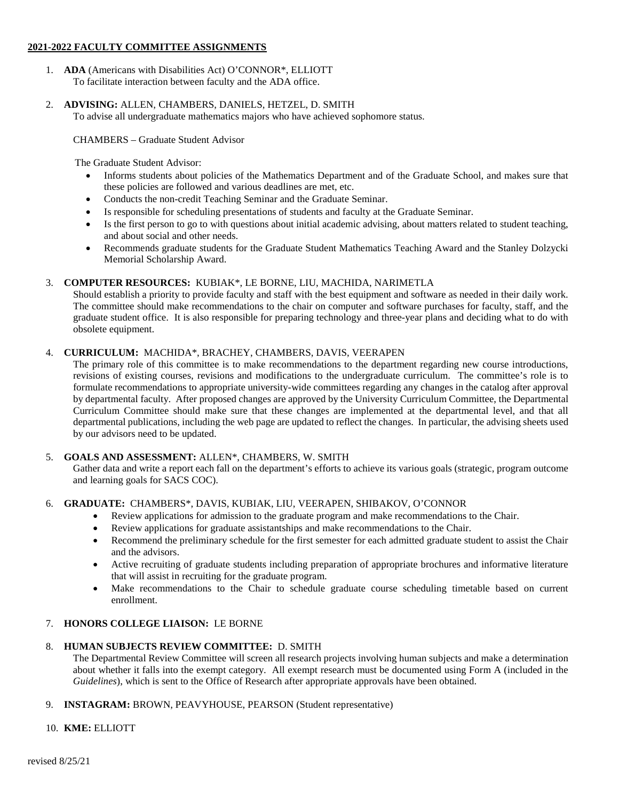### **2021-2022 FACULTY COMMITTEE ASSIGNMENTS**

- 1. **ADA** (Americans with Disabilities Act) O'CONNOR\*, ELLIOTT To facilitate interaction between faculty and the ADA office.
- 2. **ADVISING:** ALLEN, CHAMBERS, DANIELS, HETZEL, D. SMITH To advise all undergraduate mathematics majors who have achieved sophomore status.

CHAMBERS – Graduate Student Advisor

The Graduate Student Advisor:

- Informs students about policies of the Mathematics Department and of the Graduate School, and makes sure that these policies are followed and various deadlines are met, etc.
- Conducts the non-credit Teaching Seminar and the Graduate Seminar.
- Is responsible for scheduling presentations of students and faculty at the Graduate Seminar.
- Is the first person to go to with questions about initial academic advising, about matters related to student teaching, and about social and other needs.
- Recommends graduate students for the Graduate Student Mathematics Teaching Award and the Stanley Dolzycki Memorial Scholarship Award.

# 3. **COMPUTER RESOURCES:** KUBIAK\*, LE BORNE, LIU, MACHIDA, NARIMETLA

Should establish a priority to provide faculty and staff with the best equipment and software as needed in their daily work. The committee should make recommendations to the chair on computer and software purchases for faculty, staff, and the graduate student office. It is also responsible for preparing technology and three-year plans and deciding what to do with obsolete equipment.

## 4. **CURRICULUM:** MACHIDA\*, BRACHEY, CHAMBERS, DAVIS, VEERAPEN

The primary role of this committee is to make recommendations to the department regarding new course introductions, revisions of existing courses, revisions and modifications to the undergraduate curriculum. The committee's role is to formulate recommendations to appropriate university-wide committees regarding any changes in the catalog after approval by departmental faculty. After proposed changes are approved by the University Curriculum Committee, the Departmental Curriculum Committee should make sure that these changes are implemented at the departmental level, and that all departmental publications, including the web page are updated to reflect the changes. In particular, the advising sheets used by our advisors need to be updated.

## 5. **GOALS AND ASSESSMENT:** ALLEN\*, CHAMBERS, W. SMITH

Gather data and write a report each fall on the department's efforts to achieve its various goals (strategic, program outcome and learning goals for SACS COC).

## 6. **GRADUATE:** CHAMBERS\*, DAVIS, KUBIAK, LIU, VEERAPEN, SHIBAKOV, O'CONNOR

- Review applications for admission to the graduate program and make recommendations to the Chair.
- Review applications for graduate assistantships and make recommendations to the Chair.
- Recommend the preliminary schedule for the first semester for each admitted graduate student to assist the Chair and the advisors.
- Active recruiting of graduate students including preparation of appropriate brochures and informative literature that will assist in recruiting for the graduate program.
- Make recommendations to the Chair to schedule graduate course scheduling timetable based on current enrollment.

## 7. **HONORS COLLEGE LIAISON:** LE BORNE

## 8. **HUMAN SUBJECTS REVIEW COMMITTEE:** D. SMITH

The Departmental Review Committee will screen all research projects involving human subjects and make a determination about whether it falls into the exempt category. All exempt research must be documented using Form A (included in the *Guidelines*), which is sent to the Office of Research after appropriate approvals have been obtained.

9. **INSTAGRAM:** BROWN, PEAVYHOUSE, PEARSON (Student representative)

### 10. **KME:** ELLIOTT